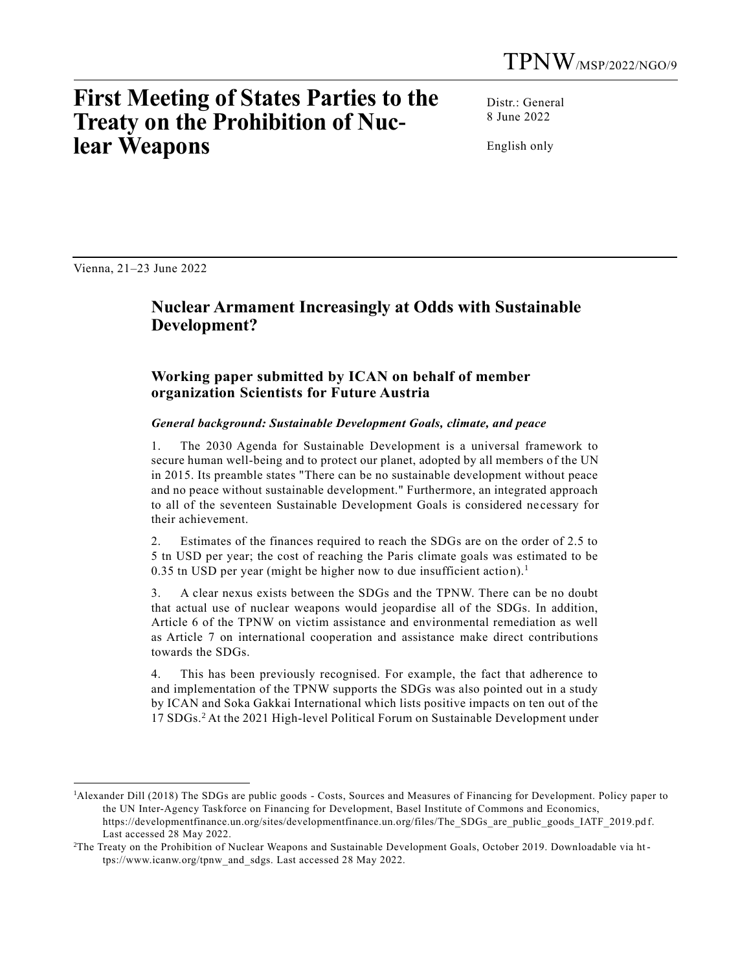# **First Meeting of States Parties to the Treaty on the Prohibition of Nuclear Weapons**

Distr.: General 8 June 2022

English only

Vienna, 21–23 June 2022

## **Nuclear Armament Increasingly at Odds with Sustainable Development?**

### **Working paper submitted by ICAN on behalf of member organization Scientists for Future Austria**

#### *General background: Sustainable Development Goals, climate, and peace*

1. The 2030 Agenda for Sustainable Development is a universal framework to secure human well-being and to protect our planet, adopted by all members of the UN in 2015. Its preamble states "There can be no sustainable development without peace and no peace without sustainable development." Furthermore, an integrated approach to all of the seventeen Sustainable Development Goals is considered ne cessary for their achievement.

2. Estimates of the finances required to reach the SDGs are on the order of 2.5 to 5 tn USD per year; the cost of reaching the Paris climate goals was estimated to be 0.35 tn USD per year (might be higher now to due insufficient action).<sup>1</sup>

3. A clear nexus exists between the SDGs and the TPNW. There can be no doubt that actual use of nuclear weapons would jeopardise all of the SDGs. In addition, Article 6 of the TPNW on victim assistance and environmental remediation as well as Article 7 on international cooperation and assistance make direct contributions towards the SDGs.

4. This has been previously recognised. For example, the fact that adherence to and implementation of the TPNW supports the SDGs was also pointed out in a study by ICAN and Soka Gakkai International which lists positive impacts on ten out of the 17 SDGs.<sup>2</sup> At the 2021 High-level Political Forum on Sustainable Development under

<sup>1</sup>Alexander Dill (2018) The SDGs are public goods - Costs, Sources and Measures of Financing for Development. Policy paper to the UN Inter-Agency Taskforce on Financing for Development, Basel Institute of Commons and Economics, https://developmentfinance.un.org/sites/developmentfinance.un.org/files/The\_SDGs\_are\_public\_goods\_IATF\_2019.pd f. Last accessed 28 May 2022.

<sup>2</sup>The Treaty on the Prohibition of Nuclear Weapons and Sustainable Development Goals, October 2019. Downloadable via https://www.icanw.org/tpnw\_and\_sdgs. Last accessed 28 May 2022.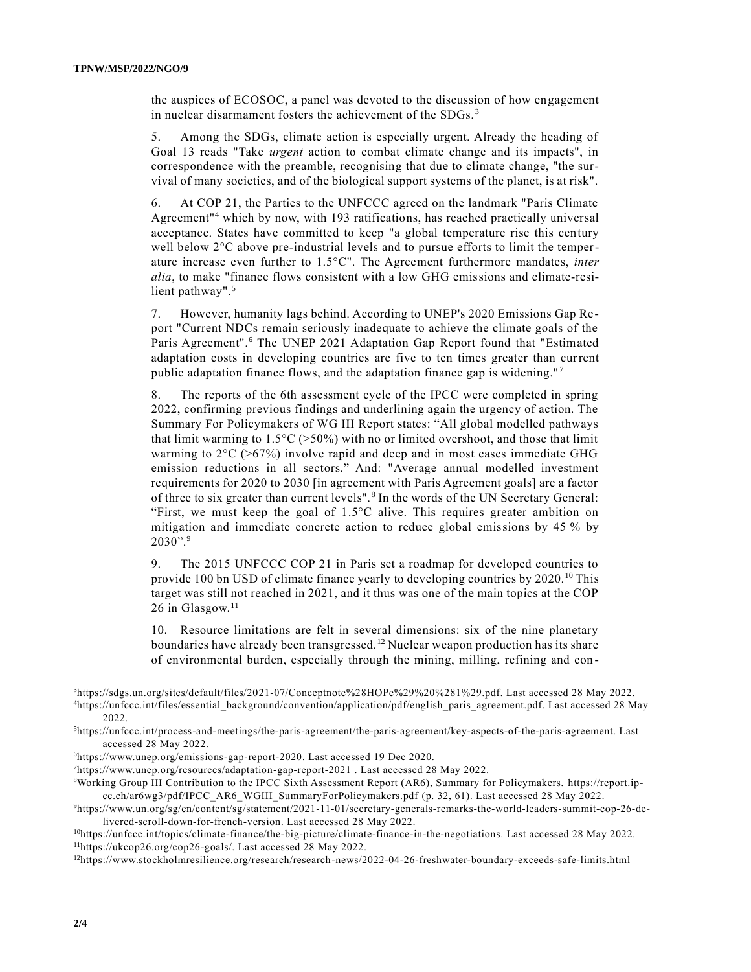the auspices of ECOSOC, a panel was devoted to the discussion of how engagement in nuclear disarmament fosters the achievement of the SDGs. <sup>3</sup>

5. Among the SDGs, climate action is especially urgent. Already the heading of Goal 13 reads "Take *urgent* action to combat climate change and its impacts", in correspondence with the preamble, recognising that due to climate change, "the survival of many societies, and of the biological support systems of the planet, is at risk".

6. At COP 21, the Parties to the UNFCCC agreed on the landmark "Paris Climate Agreement"<sup>4</sup> which by now, with 193 ratifications, has reached practically universal acceptance. States have committed to keep "a global temperature rise this century well below 2°C above pre-industrial levels and to pursue efforts to limit the temperature increase even further to 1.5°C". The Agreement furthermore mandates, *inter alia*, to make "finance flows consistent with a low GHG emissions and climate-resilient pathway".<sup>5</sup>

7. However, humanity lags behind. According to UNEP's 2020 Emissions Gap Re port "Current NDCs remain seriously inadequate to achieve the climate goals of the Paris Agreement".<sup>6</sup> The UNEP 2021 Adaptation Gap Report found that "Estimated adaptation costs in developing countries are five to ten times greater than current public adaptation finance flows, and the adaptation finance gap is widening." <sup>7</sup>

8. The reports of the 6th assessment cycle of the IPCC were completed in spring 2022, confirming previous findings and underlining again the urgency of action. The Summary For Policymakers of WG III Report states: "All global modelled pathways that limit warming to  $1.5^{\circ}C$  (>50%) with no or limited overshoot, and those that limit warming to  $2^{\circ}C$  ( $>67\%$ ) involve rapid and deep and in most cases immediate GHG emission reductions in all sectors." And: "Average annual modelled investment requirements for 2020 to 2030 [in agreement with Paris Agreement goals] are a factor of three to six greater than current levels".<sup>8</sup> In the words of the UN Secretary General: "First, we must keep the goal of 1.5°C alive. This requires greater ambition on mitigation and immediate concrete action to reduce global emissions by 45 % by  $2030$ ".<sup>9</sup>

9. The 2015 UNFCCC COP 21 in Paris set a roadmap for developed countries to provide 100 bn USD of climate finance yearly to developing countries by 2020.<sup>10</sup> This target was still not reached in 2021, and it thus was one of the main topics at the COP 26 in Glasgow.<sup>11</sup>

10. Resource limitations are felt in several dimensions: six of the nine planetary boundaries have already been transgressed.<sup>12</sup> Nuclear weapon production has its share of environmental burden, especially through the mining, milling, refining and con -

<sup>3</sup>https://sdgs.un.org/sites/default/files/2021-07/Conceptnote%28HOPe%29%20%281%29.pdf. Last accessed 28 May 2022. <sup>4</sup>https://unfccc.int/files/essential\_background/convention/application/pdf/english\_paris\_agreement.pdf. Last accessed 28 May 2022.

<sup>5</sup>https://unfccc.int/process-and-meetings/the-paris-agreement/the-paris-agreement/key-aspects-of-the-paris-agreement. Last accessed 28 May 2022.

<sup>6</sup>https://www.unep.org/emissions-gap-report-2020. Last accessed 19 Dec 2020.

<sup>7</sup>https://www.unep.org/resources/adaptation-gap-report-2021 . Last accessed 28 May 2022.

<sup>8</sup>Working Group III Contribution to the IPCC Sixth Assessment Report (AR6), Summary for Policymakers. https://report.ipcc.ch/ar6wg3/pdf/IPCC\_AR6\_WGIII\_SummaryForPolicymakers.pdf (p. 32, 61). Last accessed 28 May 2022.

<sup>9</sup>https://www.un.org/sg/en/content/sg/statement/2021-11-01/secretary-generals-remarks-the-world-leaders-summit-cop-26-delivered-scroll-down-for-french-version. Last accessed 28 May 2022.

<sup>10</sup>https://unfccc.int/topics/climate-finance/the-big-picture/climate-finance-in-the-negotiations. Last accessed 28 May 2022. <sup>11</sup>https://ukcop26.org/cop26-goals/. Last accessed 28 May 2022.

<sup>12</sup>https://www.stockholmresilience.org/research/research-news/2022-04-26-freshwater-boundary-exceeds-safe-limits.html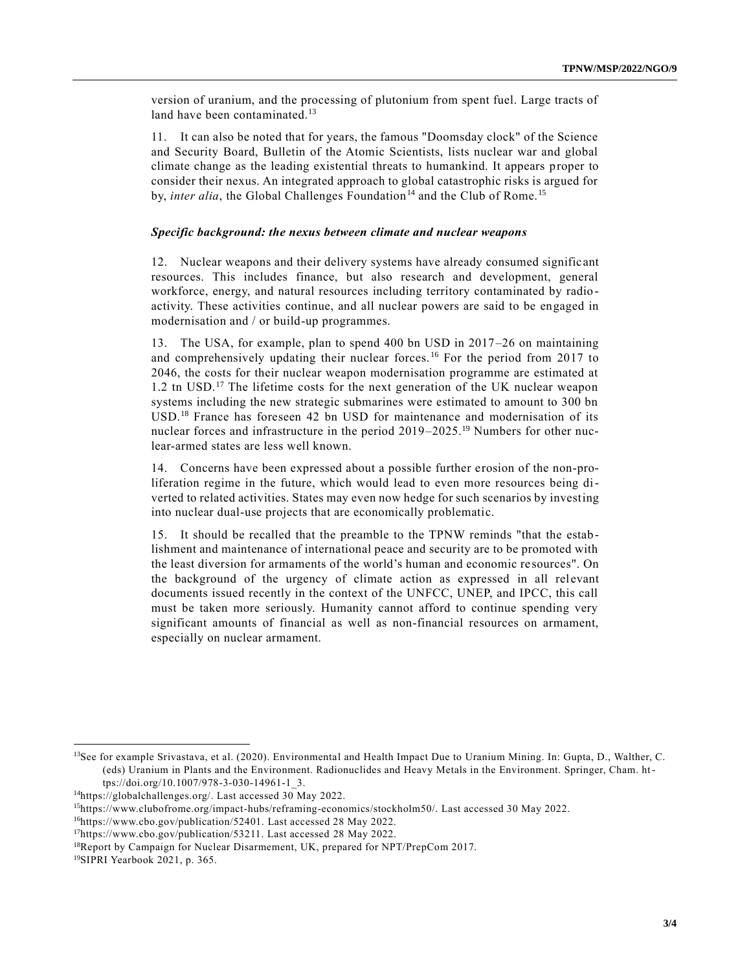version of uranium, and the processing of plutonium from spent fuel. Large tracts of land have been contaminated.<sup>13</sup>

11. It can also be noted that for years, the famous "Doomsday clock" of the Science and Security Board, Bulletin of the Atomic Scientists, lists nuclear war and global climate change as the leading existential threats to humankind. It appears proper to consider their nexus. An integrated approach to global catastrophic risks is argued for by, *inter alia*, the Global Challenges Foundation<sup>14</sup> and the Club of Rome.<sup>15</sup>

#### *Specific background: the nexus between climate and nuclear weapons*

12. Nuclear weapons and their delivery systems have already consumed signific ant resources. This includes finance, but also research and development, general workforce, energy, and natural resources including territory contaminated by radio activity. These activities continue, and all nuclear powers are said to be engaged in modernisation and / or build-up programmes.

13. The USA, for example, plan to spend 400 bn USD in 2017–26 on maintaining and comprehensively updating their nuclear forces. <sup>16</sup> For the period from 2017 to 2046, the costs for their nuclear weapon modernisation programme are estimated at 1.2 tn USD.<sup>17</sup> The lifetime costs for the next generation of the UK nuclear weapon systems including the new strategic submarines were estimated to amount to 300 bn USD.<sup>18</sup> France has foreseen 42 bn USD for maintenance and modernisation of its nuclear forces and infrastructure in the period 2019–2025.<sup>19</sup> Numbers for other nuclear-armed states are less well known.

14. Concerns have been expressed about a possible further erosion of the non-proliferation regime in the future, which would lead to even more resources being diverted to related activities. States may even now hedge for such scenarios by investing into nuclear dual-use projects that are economically problematic.

15. It should be recalled that the preamble to the TPNW reminds "that the establishment and maintenance of international peace and security are to be promoted with the least diversion for armaments of the world's human and economic re sources". On the background of the urgency of climate action as expressed in all relevant documents issued recently in the context of the UNFCC, UNEP, and IPCC, this call must be taken more seriously. Humanity cannot afford to continue spending very significant amounts of financial as well as non-financial resources on armament, especially on nuclear armament.

<sup>&</sup>lt;sup>13</sup>See for example Srivastava, et al. (2020). Environmental and Health Impact Due to Uranium Mining. In: Gupta, D., Walther, C. (eds) Uranium in Plants and the Environment. Radionuclides and Heavy Metals in the Environment. Springer, Cham. https://doi.org/10.1007/978-3-030-14961-1\_3.

<sup>14</sup>https://globalchallenges.org/. Last accessed 30 May 2022.

<sup>15</sup>https://www.clubofrome.org/impact-hubs/reframing-economics/stockholm50/. Last accessed 30 May 2022.

<sup>16</sup>https://www.cbo.gov/publication/52401. Last accessed 28 May 2022.

<sup>17</sup>https://www.cbo.gov/publication/53211. Last accessed 28 May 2022.

<sup>&</sup>lt;sup>18</sup>Report by Campaign for Nuclear Disarmement, UK, prepared for NPT/PrepCom 2017.

<sup>19</sup>SIPRI Yearbook 2021, p. 365.